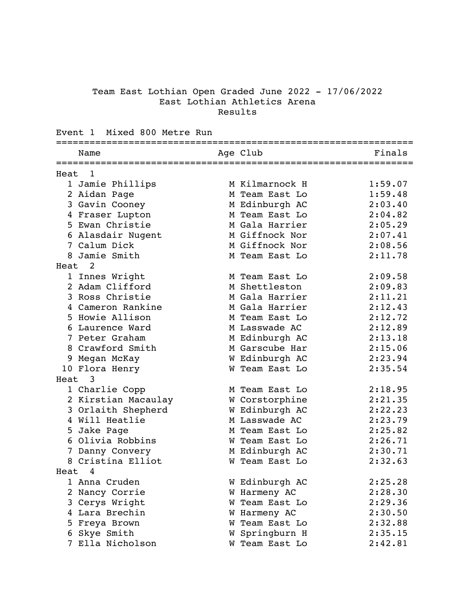## Team East Lothian Open Graded June 2022 - 17/06/2022 East Lothian Athletics Arena Results

## Event 1 Mixed 800 Metre Run

|      | Name                |   | Age Club       | Finals  |
|------|---------------------|---|----------------|---------|
|      | Heat 1              |   |                |         |
|      | 1 Jamie Phillips    |   | M Kilmarnock H | 1:59.07 |
|      | 2 Aidan Page        |   | M Team East Lo | 1:59.48 |
|      | 3 Gavin Cooney      |   | M Edinburgh AC | 2:03.40 |
|      | 4 Fraser Lupton     |   | M Team East Lo | 2:04.82 |
|      | 5 Ewan Christie     |   | M Gala Harrier | 2:05.29 |
|      | 6 Alasdair Nugent   |   | M Giffnock Nor | 2:07.41 |
|      | 7 Calum Dick        |   | M Giffnock Nor | 2:08.56 |
|      | 8 Jamie Smith       |   | M Team East Lo | 2:11.78 |
| Heat | 2                   |   |                |         |
|      | 1 Innes Wright      |   | M Team East Lo | 2:09.58 |
|      | 2 Adam Clifford     |   | M Shettleston  | 2:09.83 |
|      | 3 Ross Christie     |   | M Gala Harrier | 2:11.21 |
|      | 4 Cameron Rankine   |   | M Gala Harrier | 2:12.43 |
|      | 5 Howie Allison     |   | M Team East Lo | 2:12.72 |
|      | 6 Laurence Ward     |   | M Lasswade AC  | 2:12.89 |
|      | 7 Peter Graham      |   | M Edinburgh AC | 2:13.18 |
|      | 8 Crawford Smith    |   | M Garscube Har | 2:15.06 |
|      | 9 Megan McKay       |   | W Edinburgh AC | 2:23.94 |
|      | 10 Flora Henry      |   | W Team East Lo | 2:35.54 |
|      | Heat 3              |   |                |         |
|      | 1 Charlie Copp      |   | M Team East Lo | 2:18.95 |
|      | 2 Kirstian Macaulay |   | W Corstorphine | 2:21.35 |
|      | 3 Orlaith Shepherd  |   | W Edinburgh AC | 2:22.23 |
|      | 4 Will Heatlie      |   | M Lasswade AC  | 2:23.79 |
|      | 5 Jake Page         |   | M Team East Lo | 2:25.82 |
|      | 6 Olivia Robbins    |   | W Team East Lo | 2:26.71 |
|      | 7 Danny Convery     |   | M Edinburgh AC | 2:30.71 |
|      | 8 Cristina Elliot   |   | W Team East Lo | 2:32.63 |
| Heat | 4                   |   |                |         |
|      | 1 Anna Cruden       |   | W Edinburgh AC | 2:25.28 |
|      | Nancy Corrie        |   | W Harmeny AC   | 2:28.30 |
|      | 3 Cerys Wright      | W | Team East Lo   | 2:29.36 |
|      | 4 Lara Brechin      | W | Harmeny AC     | 2:30.50 |
| 5    | Freya Brown         | W | Team East Lo   | 2:32.88 |
|      | 6 Skye Smith        | W | Springburn H   | 2:35.15 |
|      | Ella Nicholson      | W | Team East Lo   | 2:42.81 |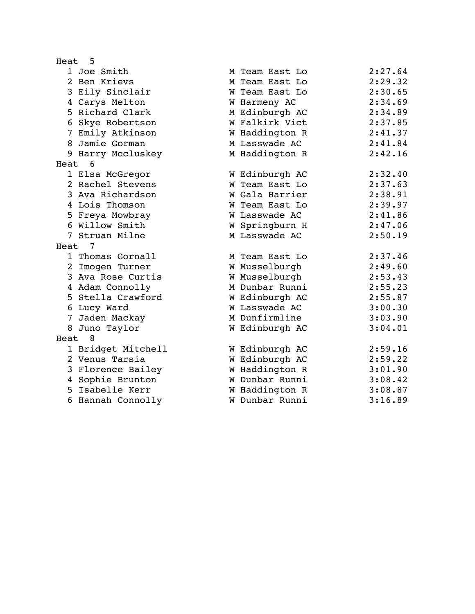| 5<br>Heat          |                |         |
|--------------------|----------------|---------|
| 1 Joe Smith        | M Team East Lo | 2:27.64 |
| 2 Ben Krievs       | M Team East Lo | 2:29.32 |
| 3 Eily Sinclair    | W Team East Lo | 2:30.65 |
| 4 Carys Melton     | W Harmeny AC   | 2:34.69 |
| 5 Richard Clark    | M Edinburgh AC | 2:34.89 |
| 6 Skye Robertson   | W Falkirk Vict | 2:37.85 |
| 7 Emily Atkinson   | W Haddington R | 2:41.37 |
| 8 Jamie Gorman     | M Lasswade AC  | 2:41.84 |
| 9 Harry Mccluskey  | M Haddington R | 2:42.16 |
| Heat<br>6          |                |         |
| 1 Elsa McGregor    | W Edinburgh AC | 2:32.40 |
| 2 Rachel Stevens   | W Team East Lo | 2:37.63 |
| 3 Ava Richardson   | W Gala Harrier | 2:38.91 |
| 4 Lois Thomson     | W Team East Lo | 2:39.97 |
| 5 Freya Mowbray    | W Lasswade AC  | 2:41.86 |
| 6 Willow Smith     | W Springburn H | 2:47.06 |
| 7 Struan Milne     | M Lasswade AC  | 2:50.19 |
| Heat 7             |                |         |
| 1 Thomas Gornall   | M Team East Lo | 2:37.46 |
| 2 Imogen Turner    | W Musselburgh  | 2:49.60 |
| 3 Ava Rose Curtis  | W Musselburgh  | 2:53.43 |
| 4 Adam Connolly    | M Dunbar Runni | 2:55.23 |
| 5 Stella Crawford  | W Edinburgh AC | 2:55.87 |
| 6 Lucy Ward        | W Lasswade AC  | 3:00.30 |
| 7 Jaden Mackay     | M Dunfirmline  | 3:03.90 |
| Juno Taylor<br>8   | W Edinburgh AC | 3:04.01 |
| 8<br>Heat          |                |         |
| 1 Bridget Mitchell | W Edinburgh AC | 2:59.16 |
| 2 Venus Tarsia     | W Edinburgh AC | 2:59.22 |
| 3 Florence Bailey  | W Haddington R | 3:01.90 |
| 4 Sophie Brunton   | W Dunbar Runni | 3:08.42 |
| 5 Isabelle Kerr    | W Haddington R | 3:08.87 |
| 6 Hannah Connolly  | W Dunbar Runni | 3:16.89 |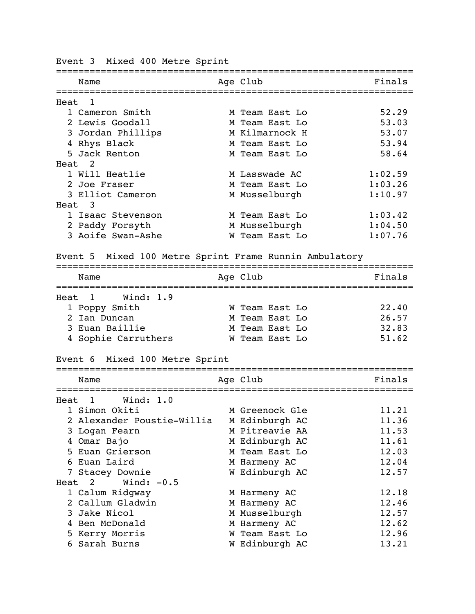| Name                                                          | Age Club       | Finals  |
|---------------------------------------------------------------|----------------|---------|
|                                                               |                |         |
| Heat<br>-1<br>1 Cameron Smith                                 | M Team East Lo | 52.29   |
| 2 Lewis Goodall                                               | M Team East Lo | 53.03   |
| 3 Jordan Phillips                                             | M Kilmarnock H | 53.07   |
| 4 Rhys Black                                                  | M Team East Lo | 53.94   |
| 5 Jack Renton                                                 | M Team East Lo | 58.64   |
| 2<br>Heat                                                     |                |         |
| 1 Will Heatlie                                                | M Lasswade AC  | 1:02.59 |
| 2 Joe Fraser                                                  | M Team East Lo | 1:03.26 |
| 3 Elliot Cameron                                              | M Musselburgh  | 1:10.97 |
| Heat<br>3                                                     |                |         |
| 1 Isaac Stevenson                                             | M Team East Lo | 1:03.42 |
| 2 Paddy Forsyth                                               | M Musselburgh  | 1:04.50 |
| 3 Aoife Swan-Ashe                                             | W Team East Lo | 1:07.76 |
| Event 5 Mixed 100 Metre Sprint Frame Runnin Ambulatory        |                |         |
|                                                               |                |         |
| Name<br>======================                                | Age Club       | Finals  |
| Heat 1<br>Wind: 1.9                                           |                |         |
| 1 Poppy Smith                                                 | W Team East Lo | 22.40   |
| 2 Ian Duncan                                                  | M Team East Lo | 26.57   |
| 3 Euan Baillie                                                | M Team East Lo | 32.83   |
| 4 Sophie Carruthers                                           | W Team East Lo | 51.62   |
|                                                               |                |         |
| Event 6 Mixed 100 Metre Sprint                                |                |         |
| Name                                                          | Age Club       | Finals  |
| =================================<br>1<br>Wind: $1.0$<br>Heat |                |         |
| 1 Simon Okiti                                                 | M Greenock Gle | 11.21   |
| 2 Alexander Poustie-Willia                                    | M Edinburgh AC | 11.36   |
| 3 Logan Fearn                                                 | M Pitreavie AA | 11.53   |
| 4 Omar Bajo                                                   | M Edinburgh AC | 11.61   |
| 5 Euan Grierson                                               | M Team East Lo | 12.03   |
| 6 Euan Laird                                                  | M Harmeny AC   | 12.04   |
| 7 Stacey Downie                                               | W Edinburgh AC | 12.57   |
| Wind: $-0.5$<br>Heat<br>2                                     |                |         |
| 1 Calum Ridgway                                               | M Harmeny AC   | 12.18   |
| 2 Callum Gladwin                                              | M Harmeny AC   | 12.46   |
| 3 Jake Nicol                                                  | M Musselburgh  | 12.57   |
| 4 Ben McDonald                                                | M Harmeny AC   | 12.62   |
| 5 Kerry Morris                                                | W Team East Lo | 12.96   |
| 6 Sarah Burns                                                 | W Edinburgh AC | 13.21   |

Event 3 Mixed 400 Metre Sprint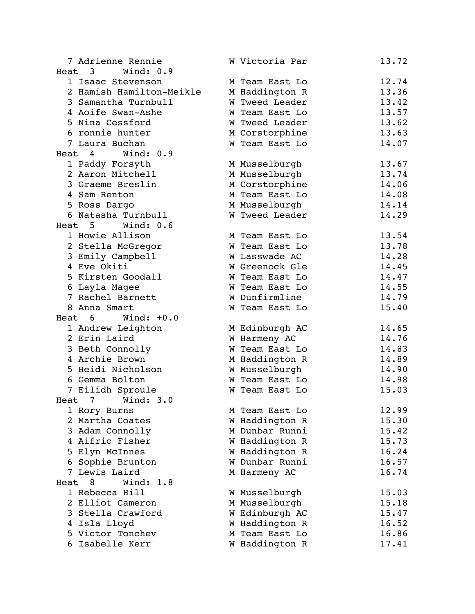| 7 Adrienne Rennie           | W Victoria Par | 13.72 |
|-----------------------------|----------------|-------|
| Wind: $0.9$<br>Heat<br>-3   |                |       |
| 1 Isaac Stevenson           | M Team East Lo | 12.74 |
| 2 Hamish Hamilton-Meikle    | M Haddington R | 13.36 |
| 3 Samantha Turnbull         | W Tweed Leader | 13.42 |
| 4 Aoife Swan-Ashe           | W Team East Lo | 13.57 |
| 5 Nina Cessford             | W Tweed Leader | 13.62 |
| 6 ronnie hunter             | M Corstorphine | 13.63 |
| 7 Laura Buchan              | W Team East Lo | 14.07 |
| Wind: 0.9<br>Heat 4         |                |       |
| 1 Paddy Forsyth             | M Musselburgh  | 13.67 |
| 2 Aaron Mitchell            | M Musselburgh  | 13.74 |
| 3 Graeme Breslin            | M Corstorphine | 14.06 |
|                             | M Team East Lo |       |
| 4 Sam Renton                |                | 14.08 |
| 5 Ross Dargo                | M Musselburgh  | 14.14 |
| 6 Natasha Turnbull          | W Tweed Leader | 14.29 |
| Wind: $0.6$<br>Heat<br>5    |                |       |
| 1 Howie Allison             | M Team East Lo | 13.54 |
| 2 Stella McGregor           | W Team East Lo | 13.78 |
| 3 Emily Campbell            | W Lasswade AC  | 14.28 |
| 4 Eve Okiti                 | W Greenock Gle | 14.45 |
| 5 Kirsten Goodall           | W Team East Lo | 14.47 |
| 6 Layla Magee               | W Team East Lo | 14.55 |
| 7 Rachel Barnett            | W Dunfirmline  | 14.79 |
| 8 Anna Smart                | W Team East Lo | 15.40 |
| Wind: $+0.0$<br>Heat<br>- 6 |                |       |
| 1 Andrew Leighton           | M Edinburgh AC | 14.65 |
| 2 Erin Laird                | W Harmeny AC   | 14.76 |
| 3 Beth Connolly             | W Team East Lo | 14.83 |
| 4 Archie Brown              | M Haddington R | 14.89 |
| 5 Heidi Nicholson           | W Musselburgh  | 14.90 |
| 6 Gemma Bolton              | W Team East Lo | 14.98 |
| 7 Eilidh Sproule            | W Team East Lo | 15.03 |
| Wind: 3.0<br>Heat<br>7      |                |       |
| 1 Rory Burns                | M Team East Lo | 12.99 |
| 2 Martha Coates             | W Haddington R | 15.30 |
| 3 Adam Connolly             | M Dunbar Runni | 15.42 |
| 4 Aifric Fisher             | W Haddington R | 15.73 |
| 5 Elyn McInnes              | W Haddington R | 16.24 |
| 6 Sophie Brunton            | W Dunbar Runni | 16.57 |
| 7 Lewis Laird               |                |       |
|                             | M Harmeny AC   | 16.74 |
| Heat<br>8<br>Wind: $1.8$    |                |       |
| 1 Rebecca Hill              | W Musselburgh  | 15.03 |
| 2 Elliot Cameron            | M Musselburgh  | 15.18 |
| 3 Stella Crawford           | W Edinburgh AC | 15.47 |
| 4 Isla Lloyd                | W Haddington R | 16.52 |
| 5 Victor Tonchev            | M Team East Lo | 16.86 |
| 6 Isabelle Kerr             | W Haddington R | 17.41 |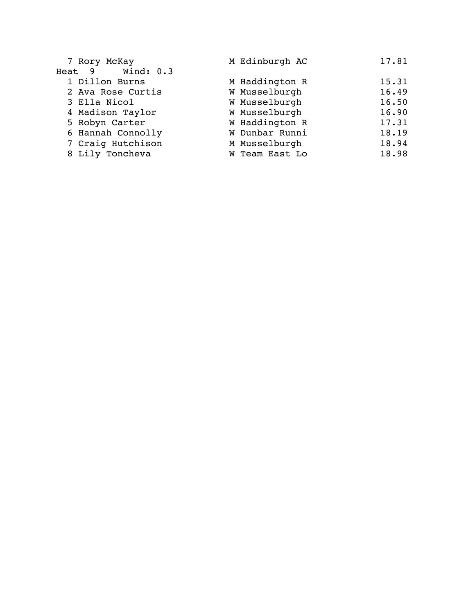| 7 Rory McKay      | M Edinburgh AC | 17.81 |
|-------------------|----------------|-------|
| Heat 9 Wind: 0.3  |                |       |
| 1 Dillon Burns    | M Haddington R | 15.31 |
| 2 Ava Rose Curtis | W Musselburgh  | 16.49 |
| 3 Ella Nicol      | W Musselburgh  | 16.50 |
| 4 Madison Taylor  | W Musselburgh  | 16.90 |
| 5 Robyn Carter    | W Haddington R | 17.31 |
| 6 Hannah Connolly | W Dunbar Runni | 18.19 |
| 7 Craig Hutchison | M Musselburgh  | 18.94 |
| 8 Lily Toncheva   | W Team East Lo | 18.98 |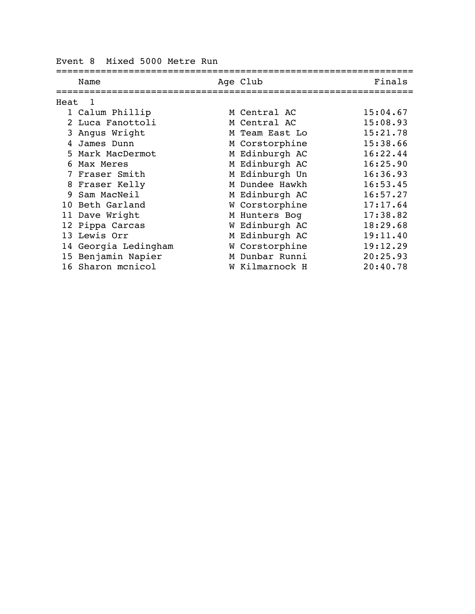|      | Name                     |   | Age Club       | Finals   |
|------|--------------------------|---|----------------|----------|
| Heat | $\overline{\phantom{0}}$ |   |                |          |
|      | 1 Calum Phillip          |   | M Central AC   | 15:04.67 |
| 2.   | Luca Fanottoli           |   | M Central AC   | 15:08.93 |
|      | 3 Angus Wright           |   | M Team East Lo | 15:21.78 |
| 4    | James Dunn               |   | M Corstorphine | 15:38.66 |
|      | 5 Mark MacDermot         |   | M Edinburgh AC | 16:22.44 |
| 6.   | Max Meres                |   | M Edinburgh AC | 16:25.90 |
|      | Fraser Smith             |   | M Edinburgh Un | 16:36.93 |
| 8    | Fraser Kelly             |   | M Dundee Hawkh | 16:53.45 |
| 9.   | Sam MacNeil              |   | M Edinburgh AC | 16:57.27 |
| 1 O  | Beth Garland             |   | W Corstorphine | 17:17.64 |
|      | 11 Dave Wright           |   | M Hunters Bog  | 17:38.82 |
|      | 12 Pippa Carcas          | W | Edinburgh AC   | 18:29.68 |
|      | 13 Lewis Orr             |   | M Edinburgh AC | 19:11.40 |
|      | 14 Georgia Ledingham     |   | W Corstorphine | 19:12.29 |
|      | 15 Benjamin Napier       |   | M Dunbar Runni | 20:25.93 |
|      | 16 Sharon mcnicol        |   | W Kilmarnock H | 20:40.78 |

Event 8 Mixed 5000 Metre Run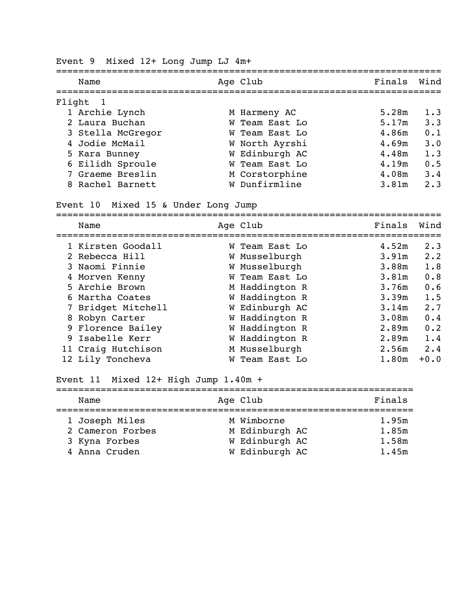|        | Name              | Age Club       | Finals | Wind        |
|--------|-------------------|----------------|--------|-------------|
| Flight |                   |                |        |             |
|        | 1 Archie Lynch    | M Harmeny AC   | 5.28m  | 1.3         |
|        | 2 Laura Buchan    | W Team East Lo | 5.17m  | 3.3         |
|        | 3 Stella McGregor | W Team East Lo | 4.86m  | 0.1         |
|        | 4 Jodie McMail    | W North Ayrshi | 4.69m  | $3 \cdot 0$ |
|        | 5 Kara Bunney     | W Edinburgh AC | 4.48m  | 1.3         |
|        | 6 Eilidh Sproule  | W Team East Lo | 4.19m  | 0.5         |
|        | 7 Graeme Breslin  | M Corstorphine | 4.08m  | 3.4         |
|        | 8 Rachel Barnett  | W Dunfirmline  | 3.81m  | 2.3         |

Event 9 Mixed 12+ Long Jump LJ 4m+

Event 10 Mixed 15 & Under Long Jump

| Name               | Age Club       | Finals            | Wind        |
|--------------------|----------------|-------------------|-------------|
|                    |                |                   |             |
| 1 Kirsten Goodall  | W Team East Lo | 4.52m             | $2 \cdot 3$ |
| 2 Rebecca Hill     | W Musselburgh  | 3.91m             | 2.2         |
| 3 Naomi Finnie     | W Musselburgh  | 3.88 <sub>m</sub> | 1.8         |
| 4 Morven Kenny     | W Team East Lo | 3.81 <sub>m</sub> | 0.8         |
| 5 Archie Brown     | M Haddington R | 3.76m             | 0.6         |
| 6 Martha Coates    | W Haddington R | 3.39m             | 1.5         |
| 7 Bridget Mitchell | W Edinburgh AC | 3.14m             | 2.7         |
| 8 Robyn Carter     | W Haddington R | 3.08m             | 0.4         |
| 9 Florence Bailey  | W Haddington R | 2.89m             | 0.2         |
| 9 Isabelle Kerr    | W Haddington R | 2.89m             | 1.4         |
| 11 Craig Hutchison | M Musselburgh  | 2.56m             | 2.4         |
| 12 Lily Toncheva   | W Team East Lo | 1.80 <sub>m</sub> | $+0.0$      |

## Event 11 Mixed 12+ High Jump 1.40m +

| Name                               | Age Club                     | Finals         |
|------------------------------------|------------------------------|----------------|
| 1 Joseph Miles<br>2 Cameron Forbes | M Wimborne<br>M Edinburgh AC | 1.95m<br>1.85m |
| 3 Kyna Forbes                      | W Edinburgh AC               | 1.58m          |
| 4 Anna Cruden                      | W Edinburgh AC               | 1.45m          |